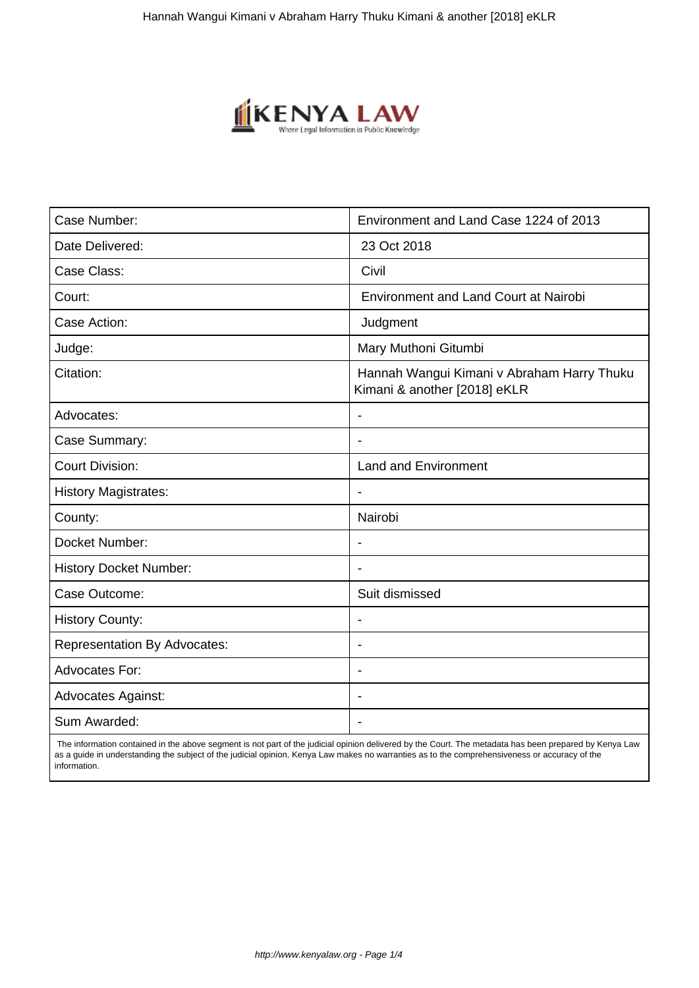

| Case Number:                        | Environment and Land Case 1224 of 2013                                     |
|-------------------------------------|----------------------------------------------------------------------------|
| Date Delivered:                     | 23 Oct 2018                                                                |
| Case Class:                         | Civil                                                                      |
| Court:                              | <b>Environment and Land Court at Nairobi</b>                               |
| Case Action:                        | Judgment                                                                   |
| Judge:                              | Mary Muthoni Gitumbi                                                       |
| Citation:                           | Hannah Wangui Kimani v Abraham Harry Thuku<br>Kimani & another [2018] eKLR |
| Advocates:                          | $\overline{a}$                                                             |
| Case Summary:                       | $\overline{\phantom{0}}$                                                   |
| <b>Court Division:</b>              | <b>Land and Environment</b>                                                |
| <b>History Magistrates:</b>         | $\overline{\phantom{a}}$                                                   |
| County:                             | Nairobi                                                                    |
| Docket Number:                      |                                                                            |
| <b>History Docket Number:</b>       |                                                                            |
| Case Outcome:                       | Suit dismissed                                                             |
| <b>History County:</b>              | $\blacksquare$                                                             |
| <b>Representation By Advocates:</b> | $\qquad \qquad \blacksquare$                                               |
| <b>Advocates For:</b>               | $\blacksquare$                                                             |
| <b>Advocates Against:</b>           | ٠                                                                          |
| Sum Awarded:                        |                                                                            |

 The information contained in the above segment is not part of the judicial opinion delivered by the Court. The metadata has been prepared by Kenya Law as a guide in understanding the subject of the judicial opinion. Kenya Law makes no warranties as to the comprehensiveness or accuracy of the information.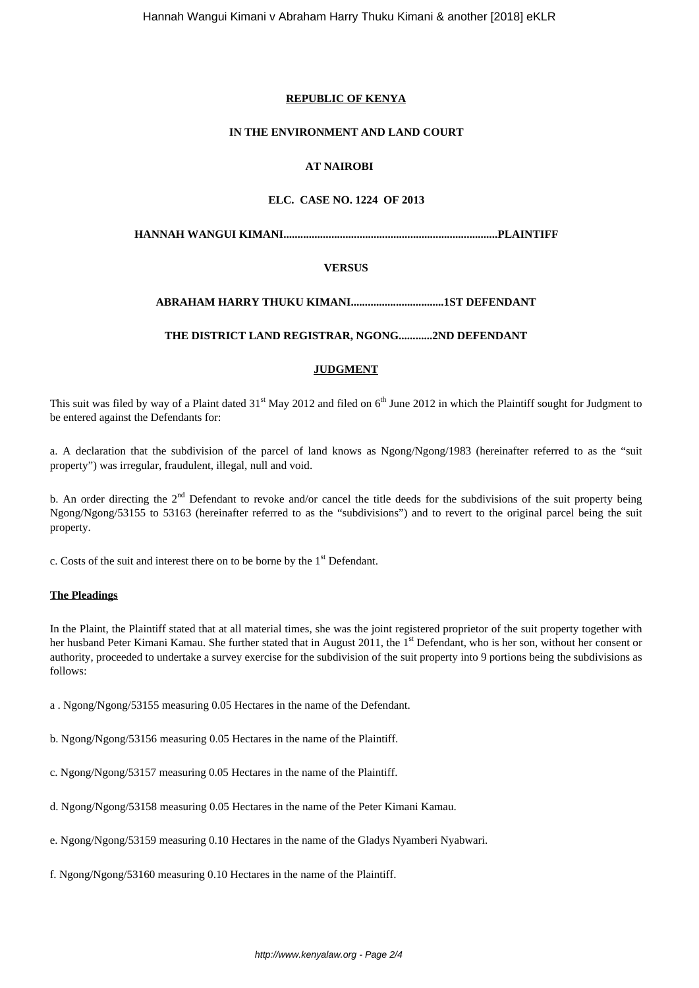## **REPUBLIC OF KENYA**

## **IN THE ENVIRONMENT AND LAND COURT**

# **AT NAIROBI**

## **ELC. CASE NO. 1224 OF 2013**

**HANNAH WANGUI KIMANI............................................................................PLAINTIFF**

## **VERSUS**

# **ABRAHAM HARRY THUKU KIMANI.................................1ST DEFENDANT**

## **THE DISTRICT LAND REGISTRAR, NGONG............2ND DEFENDANT**

## **JUDGMENT**

This suit was filed by way of a Plaint dated 31<sup>st</sup> May 2012 and filed on 6<sup>th</sup> June 2012 in which the Plaintiff sought for Judgment to be entered against the Defendants for:

a. A declaration that the subdivision of the parcel of land knows as Ngong/Ngong/1983 (hereinafter referred to as the "suit property") was irregular, fraudulent, illegal, null and void.

b. An order directing the  $2<sup>nd</sup>$  Defendant to revoke and/or cancel the title deeds for the subdivisions of the suit property being Ngong/Ngong/53155 to 53163 (hereinafter referred to as the "subdivisions") and to revert to the original parcel being the suit property.

c. Costs of the suit and interest there on to be borne by the  $1<sup>st</sup>$  Defendant.

### **The Pleadings**

In the Plaint, the Plaintiff stated that at all material times, she was the joint registered proprietor of the suit property together with her husband Peter Kimani Kamau. She further stated that in August 2011, the 1<sup>st</sup> Defendant, who is her son, without her consent or authority, proceeded to undertake a survey exercise for the subdivision of the suit property into 9 portions being the subdivisions as follows:

a . Ngong/Ngong/53155 measuring 0.05 Hectares in the name of the Defendant.

b. Ngong/Ngong/53156 measuring 0.05 Hectares in the name of the Plaintiff.

c. Ngong/Ngong/53157 measuring 0.05 Hectares in the name of the Plaintiff.

d. Ngong/Ngong/53158 measuring 0.05 Hectares in the name of the Peter Kimani Kamau.

e. Ngong/Ngong/53159 measuring 0.10 Hectares in the name of the Gladys Nyamberi Nyabwari.

f. Ngong/Ngong/53160 measuring 0.10 Hectares in the name of the Plaintiff.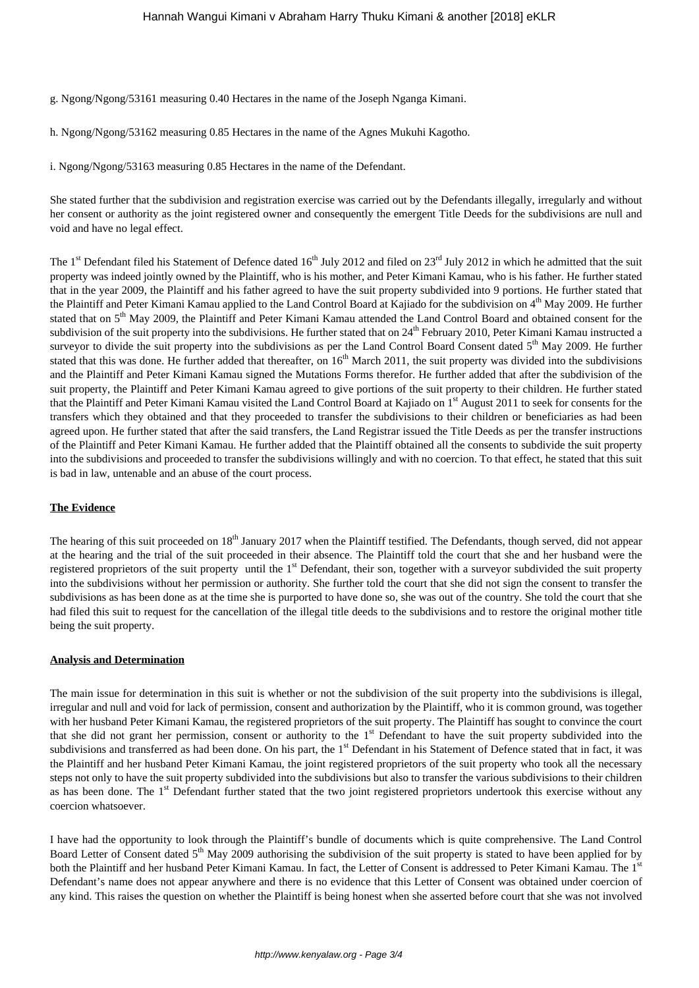g. Ngong/Ngong/53161 measuring 0.40 Hectares in the name of the Joseph Nganga Kimani.

h. Ngong/Ngong/53162 measuring 0.85 Hectares in the name of the Agnes Mukuhi Kagotho.

i. Ngong/Ngong/53163 measuring 0.85 Hectares in the name of the Defendant.

She stated further that the subdivision and registration exercise was carried out by the Defendants illegally, irregularly and without her consent or authority as the joint registered owner and consequently the emergent Title Deeds for the subdivisions are null and void and have no legal effect.

The  $1<sup>st</sup>$  Defendant filed his Statement of Defence dated  $16<sup>th</sup>$  July 2012 and filed on  $23<sup>rd</sup>$  July 2012 in which he admitted that the suit property was indeed jointly owned by the Plaintiff, who is his mother, and Peter Kimani Kamau, who is his father. He further stated that in the year 2009, the Plaintiff and his father agreed to have the suit property subdivided into 9 portions. He further stated that the Plaintiff and Peter Kimani Kamau applied to the Land Control Board at Kajiado for the subdivision on 4<sup>th</sup> May 2009. He further stated that on 5<sup>th</sup> May 2009, the Plaintiff and Peter Kimani Kamau attended the Land Control Board and obtained consent for the subdivision of the suit property into the subdivisions. He further stated that on  $24<sup>th</sup>$  February 2010, Peter Kimani Kamau instructed a surveyor to divide the suit property into the subdivisions as per the Land Control Board Consent dated  $5<sup>th</sup>$  May 2009. He further stated that this was done. He further added that thereafter, on 16<sup>th</sup> March 2011, the suit property was divided into the subdivisions and the Plaintiff and Peter Kimani Kamau signed the Mutations Forms therefor. He further added that after the subdivision of the suit property, the Plaintiff and Peter Kimani Kamau agreed to give portions of the suit property to their children. He further stated that the Plaintiff and Peter Kimani Kamau visited the Land Control Board at Kajiado on 1<sup>st</sup> August 2011 to seek for consents for the transfers which they obtained and that they proceeded to transfer the subdivisions to their children or beneficiaries as had been agreed upon. He further stated that after the said transfers, the Land Registrar issued the Title Deeds as per the transfer instructions of the Plaintiff and Peter Kimani Kamau. He further added that the Plaintiff obtained all the consents to subdivide the suit property into the subdivisions and proceeded to transfer the subdivisions willingly and with no coercion. To that effect, he stated that this suit is bad in law, untenable and an abuse of the court process.

### **The Evidence**

The hearing of this suit proceeded on 18<sup>th</sup> January 2017 when the Plaintiff testified. The Defendants, though served, did not appear at the hearing and the trial of the suit proceeded in their absence. The Plaintiff told the court that she and her husband were the registered proprietors of the suit property until the 1<sup>st</sup> Defendant, their son, together with a surveyor subdivided the suit property into the subdivisions without her permission or authority. She further told the court that she did not sign the consent to transfer the subdivisions as has been done as at the time she is purported to have done so, she was out of the country. She told the court that she had filed this suit to request for the cancellation of the illegal title deeds to the subdivisions and to restore the original mother title being the suit property.

#### **Analysis and Determination**

The main issue for determination in this suit is whether or not the subdivision of the suit property into the subdivisions is illegal, irregular and null and void for lack of permission, consent and authorization by the Plaintiff, who it is common ground, was together with her husband Peter Kimani Kamau, the registered proprietors of the suit property. The Plaintiff has sought to convince the court that she did not grant her permission, consent or authority to the 1<sup>st</sup> Defendant to have the suit property subdivided into the subdivisions and transferred as had been done. On his part, the 1<sup>st</sup> Defendant in his Statement of Defence stated that in fact, it was the Plaintiff and her husband Peter Kimani Kamau, the joint registered proprietors of the suit property who took all the necessary steps not only to have the suit property subdivided into the subdivisions but also to transfer the various subdivisions to their children as has been done. The 1<sup>st</sup> Defendant further stated that the two joint registered proprietors undertook this exercise without any coercion whatsoever.

I have had the opportunity to look through the Plaintiff's bundle of documents which is quite comprehensive. The Land Control Board Letter of Consent dated 5<sup>th</sup> May 2009 authorising the subdivision of the suit property is stated to have been applied for by both the Plaintiff and her husband Peter Kimani Kamau. In fact, the Letter of Consent is addressed to Peter Kimani Kamau. The 1st Defendant's name does not appear anywhere and there is no evidence that this Letter of Consent was obtained under coercion of any kind. This raises the question on whether the Plaintiff is being honest when she asserted before court that she was not involved